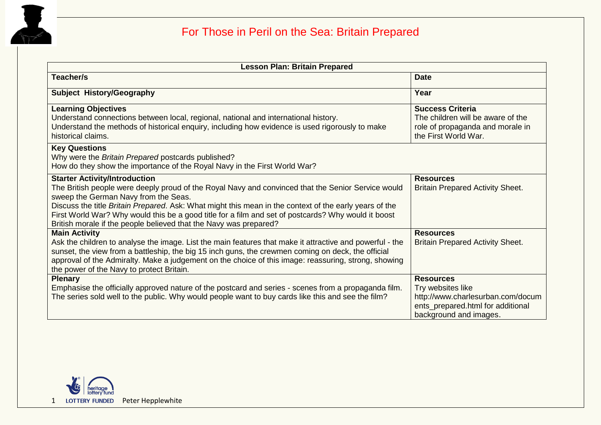

| <b>Lesson Plan: Britain Prepared</b>                                                                                                                                                                                                                                                                                                                                                                                                                                     |                                                                                                                                           |  |
|--------------------------------------------------------------------------------------------------------------------------------------------------------------------------------------------------------------------------------------------------------------------------------------------------------------------------------------------------------------------------------------------------------------------------------------------------------------------------|-------------------------------------------------------------------------------------------------------------------------------------------|--|
| <b>Teacher/s</b>                                                                                                                                                                                                                                                                                                                                                                                                                                                         | <b>Date</b>                                                                                                                               |  |
| <b>Subject History/Geography</b>                                                                                                                                                                                                                                                                                                                                                                                                                                         | Year                                                                                                                                      |  |
| <b>Learning Objectives</b><br>Understand connections between local, regional, national and international history.<br>Understand the methods of historical enquiry, including how evidence is used rigorously to make<br>historical claims.                                                                                                                                                                                                                               | <b>Success Criteria</b><br>The children will be aware of the<br>role of propaganda and morale in<br>the First World War.                  |  |
| <b>Key Questions</b><br>Why were the Britain Prepared postcards published?<br>How do they show the importance of the Royal Navy in the First World War?                                                                                                                                                                                                                                                                                                                  |                                                                                                                                           |  |
| <b>Starter Activity/Introduction</b><br>The British people were deeply proud of the Royal Navy and convinced that the Senior Service would<br>sweep the German Navy from the Seas.<br>Discuss the title Britain Prepared. Ask: What might this mean in the context of the early years of the<br>First World War? Why would this be a good title for a film and set of postcards? Why would it boost<br>British morale if the people believed that the Navy was prepared? | <b>Resources</b><br><b>Britain Prepared Activity Sheet.</b>                                                                               |  |
| <b>Main Activity</b><br>Ask the children to analyse the image. List the main features that make it attractive and powerful - the<br>sunset, the view from a battleship, the big 15 inch guns, the crewmen coming on deck, the official<br>approval of the Admiralty. Make a judgement on the choice of this image: reassuring, strong, showing<br>the power of the Navy to protect Britain.                                                                              | <b>Resources</b><br><b>Britain Prepared Activity Sheet.</b>                                                                               |  |
| <b>Plenary</b><br>Emphasise the officially approved nature of the postcard and series - scenes from a propaganda film.<br>The series sold well to the public. Why would people want to buy cards like this and see the film?                                                                                                                                                                                                                                             | <b>Resources</b><br>Try websites like<br>http://www.charlesurban.com/docum<br>ents_prepared.html for additional<br>background and images. |  |